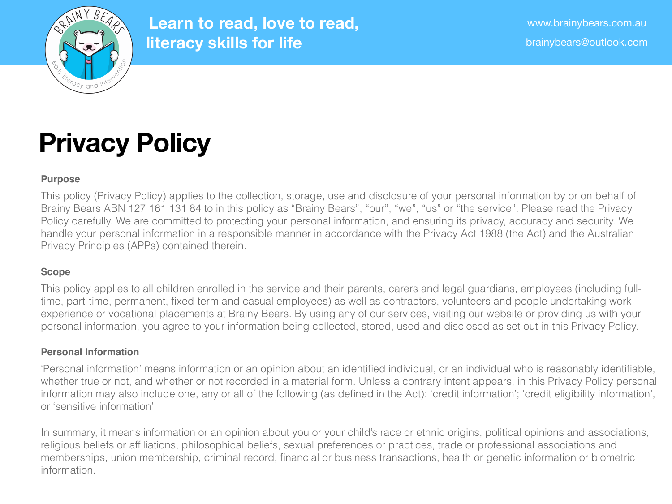

# **Privacy Policy**

## **Purpose**

This policy (Privacy Policy) applies to the collection, storage, use and disclosure of your personal information by or on behalf of Brainy Bears ABN 127 161 131 84 to in this policy as "Brainy Bears", "our", "we", "us" or "the service". Please read the Privacy Policy carefully. We are committed to protecting your personal information, and ensuring its privacy, accuracy and security. We handle your personal information in a responsible manner in accordance with the Privacy Act 1988 (the Act) and the Australian Privacy Principles (APPs) contained therein.

# **Scope**

This policy applies to all children enrolled in the service and their parents, carers and legal guardians, employees (including fulltime, part-time, permanent, fixed-term and casual employees) as well as contractors, volunteers and people undertaking work experience or vocational placements at Brainy Bears. By using any of our services, visiting our website or providing us with your personal information, you agree to your information being collected, stored, used and disclosed as set out in this Privacy Policy.

# **Personal Information**

'Personal information' means information or an opinion about an identified individual, or an individual who is reasonably identifiable, whether true or not, and whether or not recorded in a material form. Unless a contrary intent appears, in this Privacy Policy personal information may also include one, any or all of the following (as defined in the Act): 'credit information'; 'credit eligibility information', or 'sensitive information'.

In summary, it means information or an opinion about you or your child's race or ethnic origins, political opinions and associations, religious beliefs or affiliations, philosophical beliefs, sexual preferences or practices, trade or professional associations and memberships, union membership, criminal record, financial or business transactions, health or genetic information or biometric information.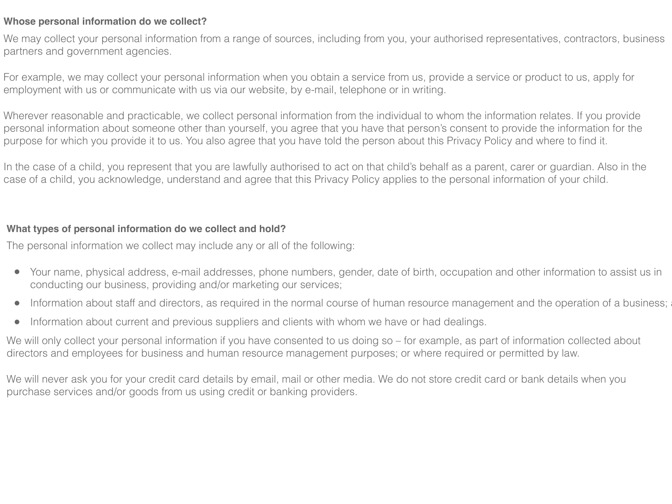## **Whose personal information do we collect?**

We may collect your personal information from a range of sources, including from you, your authorised representatives, contractors, business partners and government agencies.

For example, we may collect your personal information when you obtain a service from us, provide a service or product to us, apply for employment with us or communicate with us via our website, by e-mail, telephone or in writing.

Wherever reasonable and practicable, we collect personal information from the individual to whom the information relates. If you provide personal information about someone other than yourself, you agree that you have that person's consent to provide the information for the purpose for which you provide it to us. You also agree that you have told the person about this Privacy Policy and where to find it.

In the case of a child, you represent that you are lawfully authorised to act on that child's behalf as a parent, carer or guardian. Also in the case of a child, you acknowledge, understand and agree that this Privacy Policy applies to the personal information of your child.

## **What types of personal information do we collect and hold?**

The personal information we collect may include any or all of the following:

- Your name, physical address, e-mail addresses, phone numbers, gender, date of birth, occupation and other information to assist us in conducting our business, providing and/or marketing our services;
- Information about staff and directors, as required in the normal course of human resource management and the operation of a business;
- Information about current and previous suppliers and clients with whom we have or had dealings.

We will only collect your personal information if you have consented to us doing so – for example, as part of information collected about directors and employees for business and human resource management purposes; or where required or permitted by law.

We will never ask you for your credit card details by email, mail or other media. We do not store credit card or bank details when you purchase services and/or goods from us using credit or banking providers.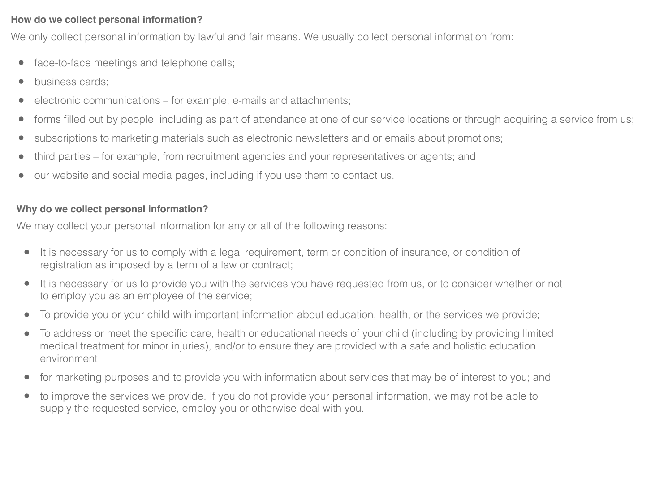## **How do we collect personal information?**

We only collect personal information by lawful and fair means. We usually collect personal information from:

- face-to-face meetings and telephone calls;
- business cards;
- electronic communications for example, e-mails and attachments;
- forms filled out by people, including as part of attendance at one of our service locations or through acquiring a service from us;
- subscriptions to marketing materials such as electronic newsletters and or emails about promotions;
- third parties for example, from recruitment agencies and your representatives or agents; and
- our website and social media pages, including if you use them to contact us.

## **Why do we collect personal information?**

We may collect your personal information for any or all of the following reasons:

- It is necessary for us to comply with a legal requirement, term or condition of insurance, or condition of registration as imposed by a term of a law or contract;
- It is necessary for us to provide you with the services you have requested from us, or to consider whether or not to employ you as an employee of the service;
- To provide you or your child with important information about education, health, or the services we provide;
- To address or meet the specific care, health or educational needs of your child (including by providing limited medical treatment for minor injuries), and/or to ensure they are provided with a safe and holistic education environment;
- for marketing purposes and to provide you with information about services that may be of interest to you; and
- to improve the services we provide. If you do not provide your personal information, we may not be able to supply the requested service, employ you or otherwise deal with you.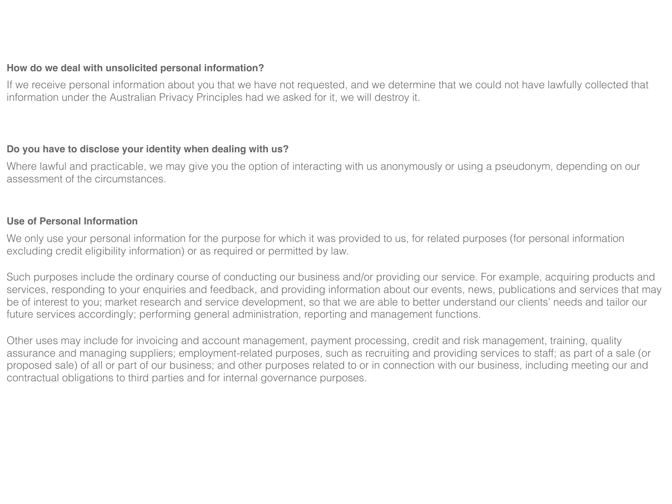#### **How do we deal with unsolicited personal information?**

If we receive personal information about you that we have not requested, and we determine that we could not have lawfully collected that information under the Australian Privacy Principles had we asked for it, we will destroy it.

## **Do you have to disclose your identity when dealing with us?**

Where lawful and practicable, we may give you the option of interacting with us anonymously or using a pseudonym, depending on our assessment of the circumstances.

## **Use of Personal Information**

We only use your personal information for the purpose for which it was provided to us, for related purposes (for personal information excluding credit eligibility information) or as required or permitted by law.

Such purposes include the ordinary course of conducting our business and/or providing our service. For example, acquiring products and services, responding to your enquiries and feedback, and providing information about our events, news, publications and services that may be of interest to you; market research and service development, so that we are able to better understand our clients' needs and tailor our future services accordingly; performing general administration, reporting and management functions.

Other uses may include for invoicing and account management, payment processing, credit and risk management, training, quality assurance and managing suppliers; employment-related purposes, such as recruiting and providing services to staff; as part of a sale (or proposed sale) of all or part of our business; and other purposes related to or in connection with our business, including meeting our and contractual obligations to third parties and for internal governance purposes.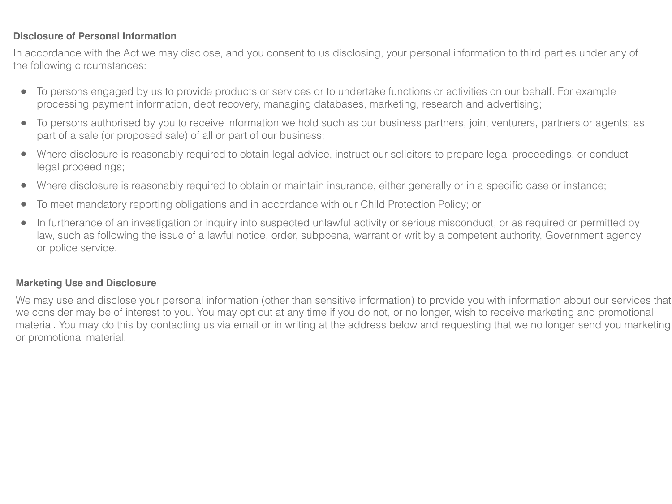## **Disclosure of Personal Information**

In accordance with the Act we may disclose, and you consent to us disclosing, your personal information to third parties under any of the following circumstances:

- To persons engaged by us to provide products or services or to undertake functions or activities on our behalf. For example processing payment information, debt recovery, managing databases, marketing, research and advertising;
- To persons authorised by you to receive information we hold such as our business partners, joint venturers, partners or agents; as part of a sale (or proposed sale) of all or part of our business;
- Where disclosure is reasonably required to obtain legal advice, instruct our solicitors to prepare legal proceedings, or conduct legal proceedings;
- Where disclosure is reasonably required to obtain or maintain insurance, either generally or in a specific case or instance;
- To meet mandatory reporting obligations and in accordance with our Child Protection Policy; or
- In furtherance of an investigation or inquiry into suspected unlawful activity or serious misconduct, or as required or permitted by law, such as following the issue of a lawful notice, order, subpoena, warrant or writ by a competent authority, Government agency or police service.

## **Marketing Use and Disclosure**

We may use and disclose your personal information (other than sensitive information) to provide you with information about our services that we consider may be of interest to you. You may opt out at any time if you do not, or no longer, wish to receive marketing and promotional material. You may do this by contacting us via email or in writing at the address below and requesting that we no longer send you marketing or promotional material.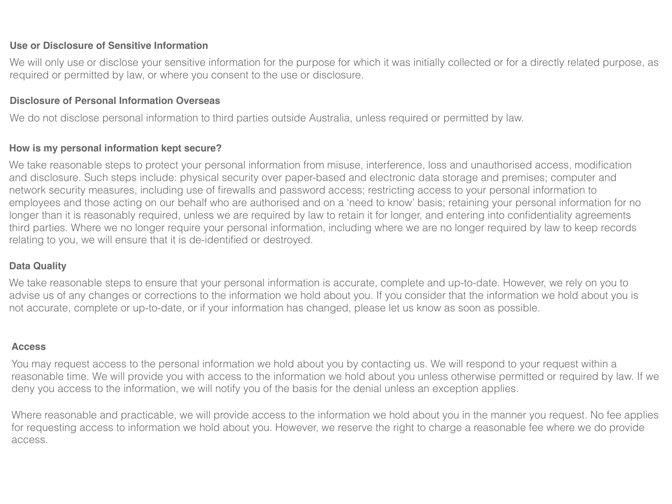## **Use or Disclosure of Sensitive Information**

We will only use or disclose your sensitive information for the purpose for which it was initially collected or for a directly related purpose, as required or permitted by law, or where you consent to the use or disclosure.

#### **Disclosure of Personal Information Overseas**

We do not disclose personal information to third parties outside Australia, unless required or permitted by law.

## **How is my personal information kept secure?**

We take reasonable steps to protect your personal information from misuse, interference, loss and unauthorised access, modification and disclosure. Such steps include: physical security over paper-based and electronic data storage and premises; computer and network security measures, including use of firewalls and password access; restricting access to your personal information to employees and those acting on our behalf who are authorised and on a 'need to know' basis; retaining your personal information for no longer than it is reasonably required, unless we are required by law to retain it for longer, and entering into confidentiality agreements third parties. Where we no longer require your personal information, including where we are no longer required by law to keep records relating to you, we will ensure that it is de-identified or destroyed.

## **Data Quality**

We take reasonable steps to ensure that your personal information is accurate, complete and up-to-date. However, we rely on you to advise us of any changes or corrections to the information we hold about you. If you consider that the information we hold about you is not accurate, complete or up-to-date, or if your information has changed, please let us know as soon as possible.

## **Access**

You may request access to the personal information we hold about you by contacting us. We will respond to your request within a reasonable time. We will provide you with access to the information we hold about you unless otherwise permitted or required by law. If we deny you access to the information, we will notify you of the basis for the denial unless an exception applies.

Where reasonable and practicable, we will provide access to the information we hold about you in the manner you request. No fee applies for requesting access to information we hold about you. However, we reserve the right to charge a reasonable fee where we do provide access.